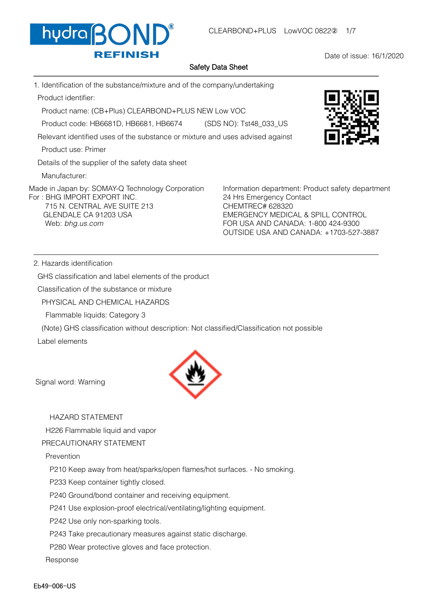

Date of issue: 16/1/2020

## Safety Data Sheet

1. Identification of the substance/mixture and of the company/undertaking Product identifier:

Product name: (CB+Plus) CLEARBOND+PLUS NEW Low VOC

Product code: HB6681D, HB6681, HB6674 (SDS NO): Tst48\_033\_US

Relevant identified uses of the substance or mixture and uses advised against

Product use: Primer

Details of the supplier of the safety data sheet

Manufacturer:

Made in Japan by: SOMAY-Q Technology Corporation For : BHG IMPORT EXPORT INC. 715 N. CENTRAL AVE SUITE 213 GLENDALE CA 91203 USA Web: bhg.us.com

Information department: Product safety department 24 Hrs Emergency Contact CHEMTREC# 628320 EMERGENCY MEDICAL & SPILL CONTROL FOR USA AND CANADA: 1-800 424-9300 OUTSIDE USA AND CANADA: +1703-527-3887

2. Hazards identification

GHS classification and label elements of the product

Classification of the substance or mixture

PHYSICAL AND CHEMICAL HAZARDS

Flammable liquids: Category 3

(Note) GHS classification without description: Not classified/Classification not possible

Label elements



Signal word: Warning

# HAZARD STATEMENT

H226 Flammable liquid and vapor

## PRECAUTIONARY STATEMENT

Prevention

P210 Keep away from heat/sparks/open flames/hot surfaces. - No smoking.

P233 Keep container tightly closed.

P240 Ground/bond container and receiving equipment.

P241 Use explosion-proof electrical/ventilating/lighting equipment.

P242 Use only non-sparking tools.

P243 Take precautionary measures against static discharge.

P280 Wear protective gloves and face protection.

Response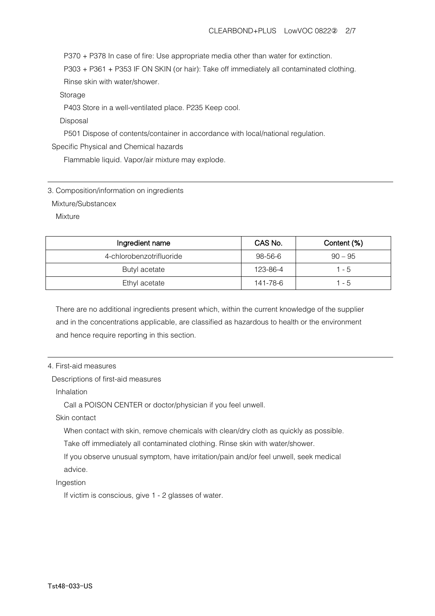P370 + P378 In case of fire: Use appropriate media other than water for extinction.

 P303 + P361 + P353 IF ON SKIN (or hair): Take off immediately all contaminated clothing. Rinse skin with water/shower.

Storage

P403 Store in a well-ventilated place. P235 Keep cool.

### Disposal

P501 Dispose of contents/container in accordance with local/national regulation.

### Specific Physical and Chemical hazards

Flammable liquid. Vapor/air mixture may explode.

3. Composition/information on ingredients

Mixture/Substancex

Mixture

| Ingredient name          | CAS No.  | Content (%) |
|--------------------------|----------|-------------|
| 4-chlorobenzotrifluoride | 98-56-6  | $90 - 95$   |
| Butyl acetate            | 123-86-4 | $1 - 5$     |
| Ethyl acetate            | 141-78-6 | $1 - 5$     |

 There are no additional ingredients present which, within the current knowledge of the supplier and in the concentrations applicable, are classified as hazardous to health or the environment and hence require reporting in this section.

## 4. First-aid measures

#### Descriptions of first-aid measures

Inhalation

Call a POISON CENTER or doctor/physician if you feel unwell.

Skin contact

When contact with skin, remove chemicals with clean/dry cloth as quickly as possible.

Take off immediately all contaminated clothing. Rinse skin with water/shower.

 If you observe unusual symptom, have irritation/pain and/or feel unwell, seek medical advice.

Ingestion

If victim is conscious, give 1 - 2 glasses of water.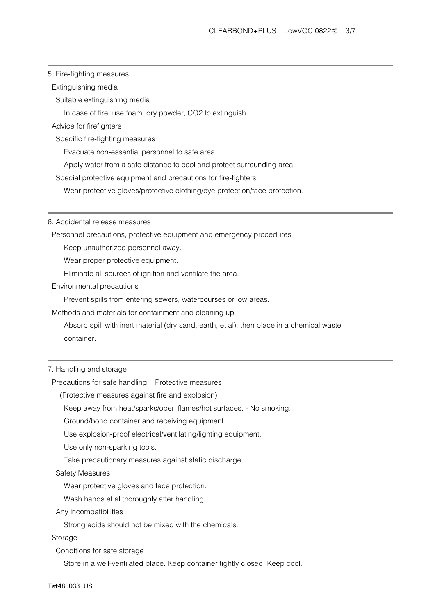## 5. Fire-fighting measures

Extinguishing media

Suitable extinguishing media

In case of fire, use foam, dry powder, CO2 to extinguish.

# Advice for firefighters

Specific fire-fighting measures

Evacuate non-essential personnel to safe area.

Apply water from a safe distance to cool and protect surrounding area.

Special protective equipment and precautions for fire-fighters

Wear protective gloves/protective clothing/eye protection/face protection.

6. Accidental release measures

Personnel precautions, protective equipment and emergency procedures

Keep unauthorized personnel away.

Wear proper protective equipment.

Eliminate all sources of ignition and ventilate the area.

Environmental precautions

Prevent spills from entering sewers, watercourses or low areas.

Methods and materials for containment and cleaning up

 Absorb spill with inert material (dry sand, earth, et al), then place in a chemical waste container.

### 7. Handling and storage

Precautions for safe handling Protective measures

(Protective measures against fire and explosion)

Keep away from heat/sparks/open flames/hot surfaces. - No smoking.

Ground/bond container and receiving equipment.

Use explosion-proof electrical/ventilating/lighting equipment.

Use only non-sparking tools.

Take precautionary measures against static discharge.

#### Safety Measures

Wear protective gloves and face protection.

Wash hands et al thoroughly after handling.

Any incompatibilities

Strong acids should not be mixed with the chemicals.

#### Storage

Conditions for safe storage

Store in a well-ventilated place. Keep container tightly closed. Keep cool.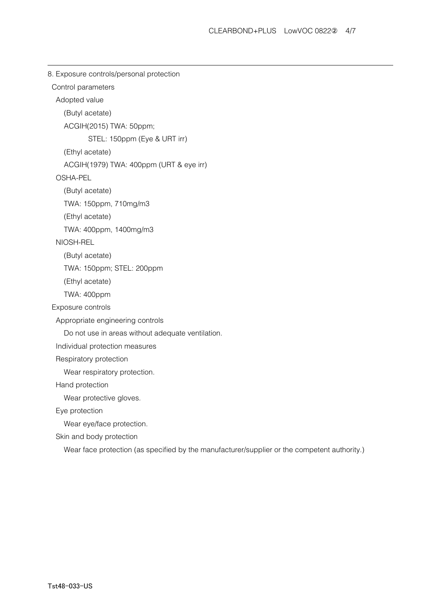```
8. Exposure controls/personal protection
Control parameters
 Adopted value
   (Butyl acetate)
   ACGIH(2015) TWA: 50ppm;
           STEL: 150ppm (Eye & URT irr)
   (Ethyl acetate)
   ACGIH(1979) TWA: 400ppm (URT & eye irr)
 OSHA-PEL
   (Butyl acetate)
   TWA: 150ppm, 710mg/m3
   (Ethyl acetate)
   TWA: 400ppm, 1400mg/m3
 NIOSH-REL
   (Butyl acetate)
   TWA: 150ppm; STEL: 200ppm
   (Ethyl acetate)
   TWA: 400ppm
Exposure controls
 Appropriate engineering controls
   Do not use in areas without adequate ventilation.
 Individual protection measures
 Respiratory protection
   Wear respiratory protection.
 Hand protection
   Wear protective gloves.
 Eye protection
   Wear eye/face protection.
 Skin and body protection
   Wear face protection (as specified by the manufacturer/supplier or the competent authority.)
```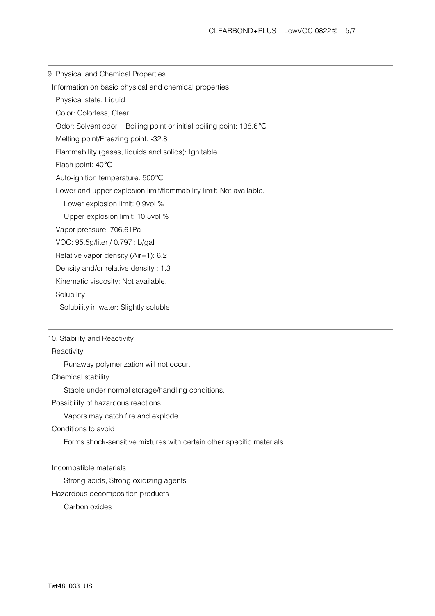9. Physical and Chemical Properties

Information on basic physical and chemical properties

Physical state: Liquid

Color: Colorless, Clear

Odor: Solvent odor Boiling point or initial boiling point: 138.6℃

Melting point/Freezing point: -32.8

Flammability (gases, liquids and solids): Ignitable

Flash point: 40℃

Auto-ignition temperature: 500℃

Lower and upper explosion limit/flammability limit: Not available.

Lower explosion limit: 0.9vol %

Upper explosion limit: 10.5vol %

Vapor pressure: 706.61Pa

VOC: 95.5g/liter / 0.797 :lb/gal

Relative vapor density (Air=1): 6.2

Density and/or relative density : 1.3

Kinematic viscosity: Not available.

**Solubility** 

Solubility in water: Slightly soluble

10. Stability and Reactivity

**Reactivity** 

Runaway polymerization will not occur.

Chemical stability

Stable under normal storage/handling conditions.

Possibility of hazardous reactions

Vapors may catch fire and explode.

Conditions to avoid

Forms shock-sensitive mixtures with certain other specific materials.

Incompatible materials

Strong acids, Strong oxidizing agents

Hazardous decomposition products

Carbon oxides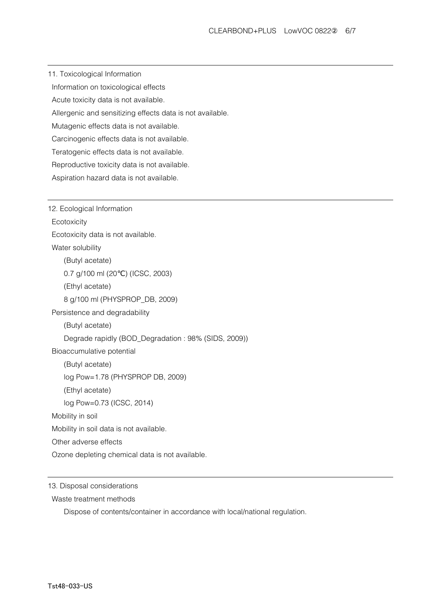11. Toxicological Information Information on toxicological effects Acute toxicity data is not available. Allergenic and sensitizing effects data is not available.

Mutagenic effects data is not available.

Carcinogenic effects data is not available.

Teratogenic effects data is not available.

Reproductive toxicity data is not available.

Aspiration hazard data is not available.

12. Ecological Information **Ecotoxicity**  Ecotoxicity data is not available. Water solubility (Butyl acetate) 0.7 g/100 ml (20 °C) (ICSC, 2003) (Ethyl acetate) 8 g/100 ml (PHYSPROP\_DB, 2009) Persistence and degradability (Butyl acetate) Degrade rapidly (BOD\_Degradation : 98% (SIDS, 2009)) Bioaccumulative potential (Butyl acetate) log Pow=1.78 (PHYSPROP DB, 2009) (Ethyl acetate) log Pow=0.73 (ICSC, 2014) Mobility in soil Mobility in soil data is not available. Other adverse effects Ozone depleting chemical data is not available.

13. Disposal considerations

Waste treatment methods

Dispose of contents/container in accordance with local/national regulation.